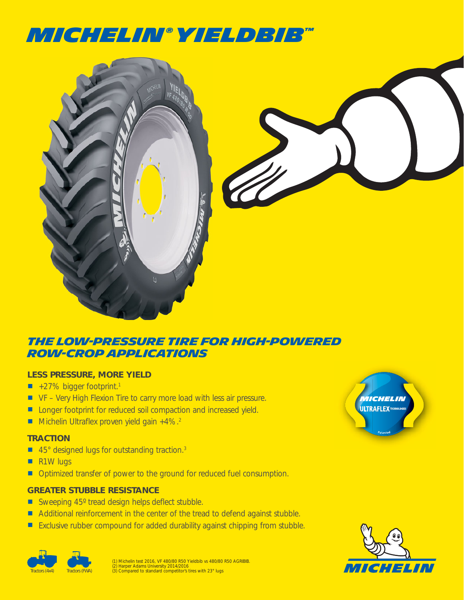# MICHELIN**®** yieldbib**™**



### **THE LOW-PRESSURE Tire FOR HIGH-POWERED ROW-CROP APPLICATIONS**

#### **LESS PRESSURE, MORE YIELD**

- $\blacksquare$  +27% bigger footprint.<sup>1</sup>
- VF Very High Flexion Tire to carry more load with less air pressure.
- **Longer footprint for reduced soil compaction and increased yield.**
- Michelin Ultraflex proven yield gain  $+4\%$ .<sup>2</sup>

#### **TRACTION**

- 45° designed lugs for outstanding traction.<sup>3</sup>
- **R1W lugs**
- **Optimized transfer of power to the ground for reduced fuel consumption.**

#### **GREATER STUBBLE RESISTANCE**

- Sweeping 45° tread design helps deflect stubble.
- Additional reinforcement in the center of the tread to defend against stubble.
- **Exclusive rubber compound for added durability against chipping from stubble.**

(1) Michelin test 2016, VF 480/80 R50 Yieldbib vs 480/80 R50 AGRIBIB.<br>(2) Harper Adams University 2014/2016<br>(3) Compared to standard competitor's tires with 23° lugs